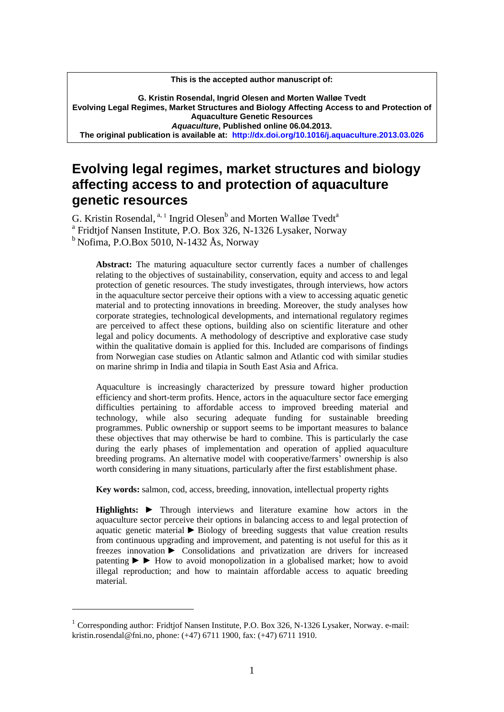#### **This is the accepted author manuscript of:**

**G. Kristin Rosendal, Ingrid Olesen and Morten Walløe Tvedt [Evolving Legal Regimes, Market Structures and Biology Affecting Access to and Protection of](http://www.fni.no/publ/biodiversity.html#agr)  [Aquaculture Genetic Resources](http://www.fni.no/publ/biodiversity.html#agr)** *Aquaculture***, Published online 06.04.2013. The original publication is available at: <http://dx.doi.org/10.1016/j.aquaculture.2013.03.026>**

# **Evolving legal regimes, market structures and biology affecting access to and protection of aquaculture genetic resources**

G. Kristin Rosendal, <sup>a, 1</sup> Ingrid Olesen<sup>b</sup> and Morten Walløe Tvedt<sup>a</sup> <sup>a</sup> Fridtjof Nansen Institute, P.O. Box 326, N-1326 Lysaker, Norway  $b$  Nofima, P.O.Box 5010, N-1432 Ås, Norway

**Abstract:** The maturing aquaculture sector currently faces a number of challenges relating to the objectives of sustainability, conservation, equity and access to and legal protection of genetic resources. The study investigates, through interviews, how actors in the aquaculture sector perceive their options with a view to accessing aquatic genetic material and to protecting innovations in breeding. Moreover, the study analyses how corporate strategies, technological developments, and international regulatory regimes are perceived to affect these options, building also on scientific literature and other legal and policy documents. A methodology of descriptive and explorative case study within the qualitative domain is applied for this. Included are comparisons of findings from Norwegian case studies on Atlantic salmon and Atlantic cod with similar studies on marine shrimp in India and tilapia in South East Asia and Africa.

Aquaculture is increasingly characterized by pressure toward higher production efficiency and short-term profits. Hence, actors in the aquaculture sector face emerging difficulties pertaining to affordable access to improved breeding material and technology, while also securing adequate funding for sustainable breeding programmes. Public ownership or support seems to be important measures to balance these objectives that may otherwise be hard to combine. This is particularly the case during the early phases of implementation and operation of applied aquaculture breeding programs. An alternative model with cooperative/farmers' ownership is also worth considering in many situations, particularly after the first establishment phase.

**Key words:** salmon, cod, access, breeding, innovation, intellectual property rights

**Highlights:** ► Through interviews and literature examine how actors in the aquaculture sector perceive their options in balancing access to and legal protection of aquatic genetic material ► Biology of breeding suggests that value creation results from continuous upgrading and improvement, and patenting is not useful for this as it freezes innovation ► Consolidations and privatization are drivers for increased patenting ► ► How to avoid monopolization in a globalised market; how to avoid illegal reproduction; and how to maintain affordable access to aquatic breeding material.

<sup>&</sup>lt;sup>1</sup> Corresponding author: Fridtjof Nansen Institute, P.O. Box 326, N-1326 Lysaker, Norway. e-mail: kristin.rosendal@fni.no, phone: (+47) 6711 1900, fax: (+47) 6711 1910.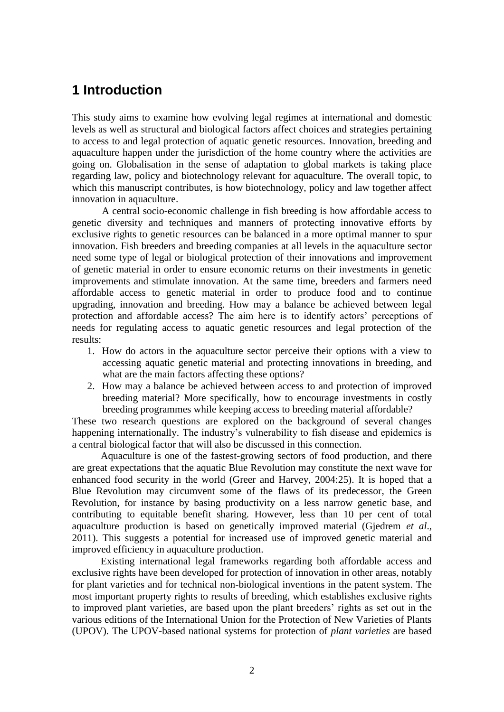# **1 Introduction**

This study aims to examine how evolving legal regimes at international and domestic levels as well as structural and biological factors affect choices and strategies pertaining to access to and legal protection of aquatic genetic resources. Innovation, breeding and aquaculture happen under the jurisdiction of the home country where the activities are going on. Globalisation in the sense of adaptation to global markets is taking place regarding law, policy and biotechnology relevant for aquaculture. The overall topic, to which this manuscript contributes, is how biotechnology, policy and law together affect innovation in aquaculture.

A central socio-economic challenge in fish breeding is how affordable access to genetic diversity and techniques and manners of protecting innovative efforts by exclusive rights to genetic resources can be balanced in a more optimal manner to spur innovation. Fish breeders and breeding companies at all levels in the aquaculture sector need some type of legal or biological protection of their innovations and improvement of genetic material in order to ensure economic returns on their investments in genetic improvements and stimulate innovation. At the same time, breeders and farmers need affordable access to genetic material in order to produce food and to continue upgrading, innovation and breeding. How may a balance be achieved between legal protection and affordable access? The aim here is to identify actors' perceptions of needs for regulating access to aquatic genetic resources and legal protection of the results:

- 1. How do actors in the aquaculture sector perceive their options with a view to accessing aquatic genetic material and protecting innovations in breeding, and what are the main factors affecting these options?
- 2. How may a balance be achieved between access to and protection of improved breeding material? More specifically, how to encourage investments in costly breeding programmes while keeping access to breeding material affordable?

These two research questions are explored on the background of several changes happening internationally. The industry's vulnerability to fish disease and epidemics is a central biological factor that will also be discussed in this connection.

Aquaculture is one of the fastest-growing sectors of food production, and there are great expectations that the aquatic Blue Revolution may constitute the next wave for enhanced food security in the world (Greer and Harvey, 2004:25). It is hoped that a Blue Revolution may circumvent some of the flaws of its predecessor, the Green Revolution, for instance by basing productivity on a less narrow genetic base, and contributing to equitable benefit sharing. However, less than 10 per cent of total aquaculture production is based on genetically improved material (Gjedrem *et al*., 2011). This suggests a potential for increased use of improved genetic material and improved efficiency in aquaculture production.

Existing international legal frameworks regarding both affordable access and exclusive rights have been developed for protection of innovation in other areas, notably for plant varieties and for technical non-biological inventions in the patent system. The most important property rights to results of breeding, which establishes exclusive rights to improved plant varieties, are based upon the plant breeders' rights as set out in the various editions of the International Union for the Protection of New Varieties of Plants (UPOV). The UPOV-based national systems for protection of *plant varieties* are based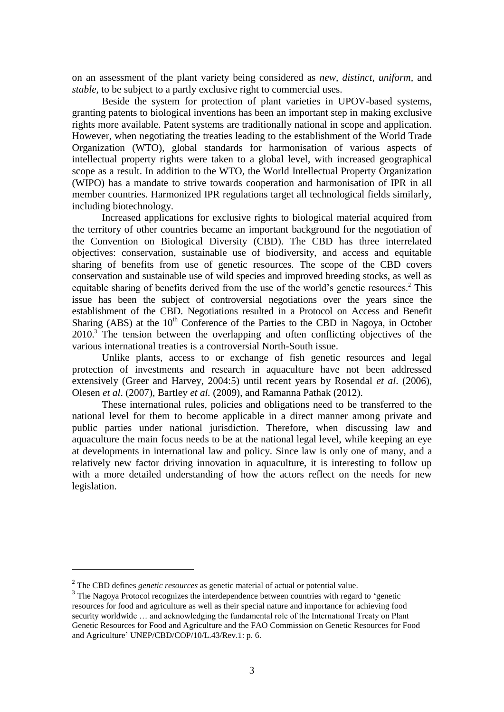on an assessment of the plant variety being considered as *new, distinct, uniform,* and *stable*, to be subject to a partly exclusive right to commercial uses.

Beside the system for protection of plant varieties in UPOV-based systems, granting patents to biological inventions has been an important step in making exclusive rights more available. Patent systems are traditionally national in scope and application. However, when negotiating the treaties leading to the establishment of the World Trade Organization (WTO), global standards for harmonisation of various aspects of intellectual property rights were taken to a global level, with increased geographical scope as a result. In addition to the WTO, the World Intellectual Property Organization (WIPO) has a mandate to strive towards cooperation and harmonisation of IPR in all member countries. Harmonized IPR regulations target all technological fields similarly, including biotechnology.

Increased applications for exclusive rights to biological material acquired from the territory of other countries became an important background for the negotiation of the Convention on Biological Diversity (CBD). The CBD has three interrelated objectives: conservation, sustainable use of biodiversity, and access and equitable sharing of benefits from use of genetic resources. The scope of the CBD covers conservation and sustainable use of wild species and improved breeding stocks, as well as equitable sharing of benefits derived from the use of the world's genetic resources.<sup>2</sup> This issue has been the subject of controversial negotiations over the years since the establishment of the CBD. Negotiations resulted in a Protocol on Access and Benefit Sharing (ABS) at the  $10<sup>th</sup>$  Conference of the Parties to the CBD in Nagoya, in October 2010.<sup>3</sup> The tension between the overlapping and often conflicting objectives of the various international treaties is a controversial North-South issue.

Unlike plants, access to or exchange of fish genetic resources and legal protection of investments and research in aquaculture have not been addressed extensively (Greer and Harvey, 2004:5) until recent years by Rosendal *et al*. (2006), Olesen *et al*. (2007), Bartley *et al.* (2009), and Ramanna Pathak (2012).

These international rules, policies and obligations need to be transferred to the national level for them to become applicable in a direct manner among private and public parties under national jurisdiction. Therefore, when discussing law and aquaculture the main focus needs to be at the national legal level, while keeping an eye at developments in international law and policy. Since law is only one of many, and a relatively new factor driving innovation in aquaculture, it is interesting to follow up with a more detailed understanding of how the actors reflect on the needs for new legislation.

<sup>2</sup> The CBD defines *genetic resources* as genetic material of actual or potential value.

<sup>&</sup>lt;sup>3</sup> The Nagoya Protocol recognizes the interdependence between countries with regard to 'genetic resources for food and agriculture as well as their special nature and importance for achieving food security worldwide … and acknowledging the fundamental role of the International Treaty on Plant Genetic Resources for Food and Agriculture and the FAO Commission on Genetic Resources for Food and Agriculture' UNEP/CBD/COP/10/L.43/Rev.1: p. 6.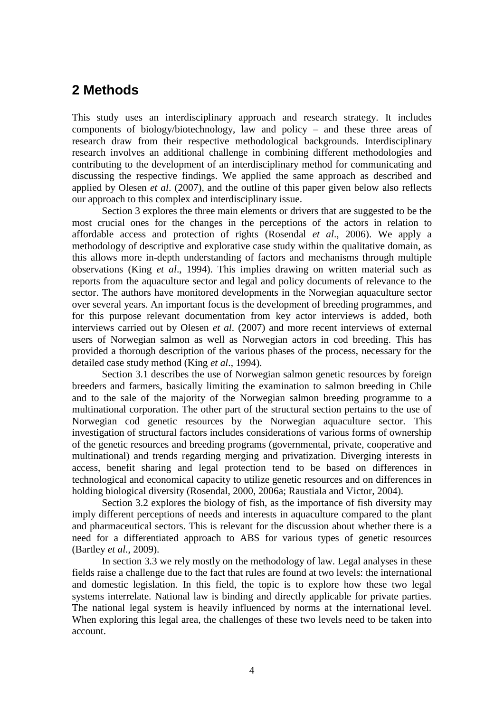## **2 Methods**

This study uses an interdisciplinary approach and research strategy. It includes components of biology/biotechnology, law and policy – and these three areas of research draw from their respective methodological backgrounds. Interdisciplinary research involves an additional challenge in combining different methodologies and contributing to the development of an interdisciplinary method for communicating and discussing the respective findings. We applied the same approach as described and applied by Olesen *et al*. (2007), and the outline of this paper given below also reflects our approach to this complex and interdisciplinary issue.

Section 3 explores the three main elements or drivers that are suggested to be the most crucial ones for the changes in the perceptions of the actors in relation to affordable access and protection of rights (Rosendal *et al*., 2006). We apply a methodology of descriptive and explorative case study within the qualitative domain, as this allows more in-depth understanding of factors and mechanisms through multiple observations (King *et al*., 1994). This implies drawing on written material such as reports from the aquaculture sector and legal and policy documents of relevance to the sector. The authors have monitored developments in the Norwegian aquaculture sector over several years. An important focus is the development of breeding programmes, and for this purpose relevant documentation from key actor interviews is added, both interviews carried out by Olesen *et al*. (2007) and more recent interviews of external users of Norwegian salmon as well as Norwegian actors in cod breeding. This has provided a thorough description of the various phases of the process, necessary for the detailed case study method (King *et al*., 1994).

Section 3.1 describes the use of Norwegian salmon genetic resources by foreign breeders and farmers, basically limiting the examination to salmon breeding in Chile and to the sale of the majority of the Norwegian salmon breeding programme to a multinational corporation. The other part of the structural section pertains to the use of Norwegian cod genetic resources by the Norwegian aquaculture sector. This investigation of structural factors includes considerations of various forms of ownership of the genetic resources and breeding programs (governmental, private, cooperative and multinational) and trends regarding merging and privatization. Diverging interests in access, benefit sharing and legal protection tend to be based on differences in technological and economical capacity to utilize genetic resources and on differences in holding biological diversity (Rosendal, 2000, 2006a; Raustiala and Victor, 2004).

Section 3.2 explores the biology of fish, as the importance of fish diversity may imply different perceptions of needs and interests in aquaculture compared to the plant and pharmaceutical sectors. This is relevant for the discussion about whether there is a need for a differentiated approach to ABS for various types of genetic resources (Bartley *et al.*, 2009).

In section 3.3 we rely mostly on the methodology of law. Legal analyses in these fields raise a challenge due to the fact that rules are found at two levels: the international and domestic legislation. In this field, the topic is to explore how these two legal systems interrelate. National law is binding and directly applicable for private parties. The national legal system is heavily influenced by norms at the international level. When exploring this legal area, the challenges of these two levels need to be taken into account.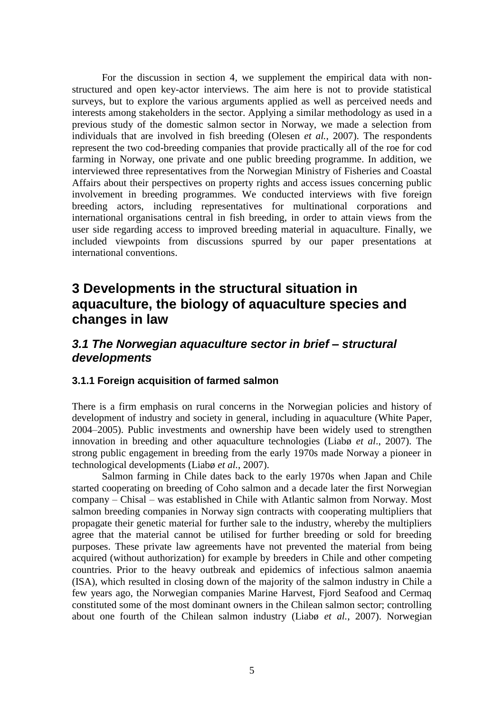For the discussion in section 4*,* we supplement the empirical data with nonstructured and open key-actor interviews. The aim here is not to provide statistical surveys, but to explore the various arguments applied as well as perceived needs and interests among stakeholders in the sector. Applying a similar methodology as used in a previous study of the domestic salmon sector in Norway, we made a selection from individuals that are involved in fish breeding (Olesen *et al.*, 2007). The respondents represent the two cod-breeding companies that provide practically all of the roe for cod farming in Norway, one private and one public breeding programme. In addition, we interviewed three representatives from the Norwegian Ministry of Fisheries and Coastal Affairs about their perspectives on property rights and access issues concerning public involvement in breeding programmes. We conducted interviews with five foreign breeding actors, including representatives for multinational corporations and international organisations central in fish breeding, in order to attain views from the user side regarding access to improved breeding material in aquaculture. Finally, we included viewpoints from discussions spurred by our paper presentations at international conventions.

# **3 Developments in the structural situation in aquaculture, the biology of aquaculture species and changes in law**

### *3.1 The Norwegian aquaculture sector in brief – structural developments*

#### **3.1.1 Foreign acquisition of farmed salmon**

There is a firm emphasis on rural concerns in the Norwegian policies and history of development of industry and society in general, including in aquaculture (White Paper, 2004–2005). Public investments and ownership have been widely used to strengthen innovation in breeding and other aquaculture technologies (Liabø *et al*., 2007). The strong public engagement in breeding from the early 1970s made Norway a pioneer in technological developments (Liabø *et al.*, 2007).

Salmon farming in Chile dates back to the early 1970s when Japan and Chile started cooperating on breeding of Coho salmon and a decade later the first Norwegian company – Chisal – was established in Chile with Atlantic salmon from Norway. Most salmon breeding companies in Norway sign contracts with cooperating multipliers that propagate their genetic material for further sale to the industry, whereby the multipliers agree that the material cannot be utilised for further breeding or sold for breeding purposes. These private law agreements have not prevented the material from being acquired (without authorization) for example by breeders in Chile and other competing countries. Prior to the heavy outbreak and epidemics of infectious salmon anaemia (ISA), which resulted in closing down of the majority of the salmon industry in Chile a few years ago, the Norwegian companies Marine Harvest, Fjord Seafood and Cermaq constituted some of the most dominant owners in the Chilean salmon sector; controlling about one fourth of the Chilean salmon industry (Liabø *et al.*, 2007). Norwegian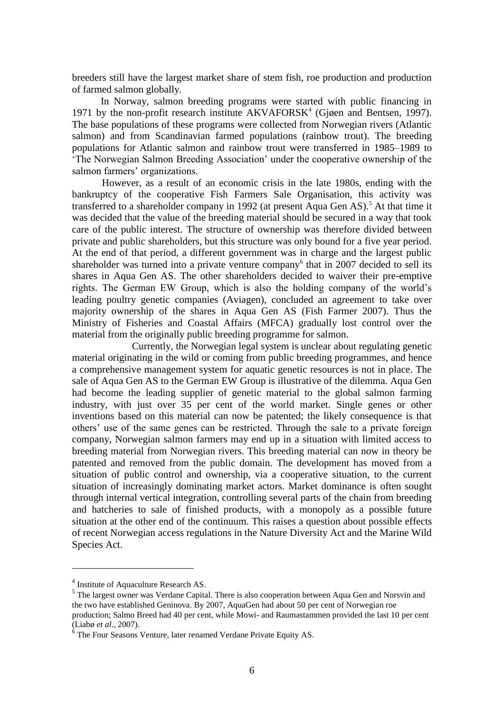breeders still have the largest market share of stem fish, roe production and production of farmed salmon globally.

In Norway, salmon breeding programs were started with public financing in 1971 by the non-profit research institute AKVAFORSK<sup>4</sup> (Gjøen and Bentsen, 1997). The base populations of these programs were collected from Norwegian rivers (Atlantic salmon) and from Scandinavian farmed populations (rainbow trout). The breeding populations for Atlantic salmon and rainbow trout were transferred in 1985–1989 to 'The Norwegian Salmon Breeding Association' under the cooperative ownership of the salmon farmers' organizations.

However, as a result of an economic crisis in the late 1980s, ending with the bankruptcy of the cooperative Fish Farmers Sale Organisation, this activity was transferred to a shareholder company in 1992 (at present Aqua Gen  $AS$ ).<sup>5</sup> At that time it was decided that the value of the breeding material should be secured in a way that took care of the public interest. The structure of ownership was therefore divided between private and public shareholders, but this structure was only bound for a five year period. At the end of that period, a different government was in charge and the largest public shareholder was turned into a private venture company<sup>6</sup> that in 2007 decided to sell its shares in Aqua Gen AS. The other shareholders decided to waiver their pre-emptive rights. The German EW Group, which is also the holding company of the world's leading poultry genetic companies (Aviagen), concluded an agreement to take over majority ownership of the shares in Aqua Gen AS (Fish Farmer 2007). Thus the Ministry of Fisheries and Coastal Affairs (MFCA) gradually lost control over the material from the originally public breeding programme for salmon.

Currently, the Norwegian legal system is unclear about regulating genetic material originating in the wild or coming from public breeding programmes, and hence a comprehensive management system for aquatic genetic resources is not in place. The sale of Aqua Gen AS to the German EW Group is illustrative of the dilemma. Aqua Gen had become the leading supplier of genetic material to the global salmon farming industry, with just over 35 per cent of the world market. Single genes or other inventions based on this material can now be patented; the likely consequence is that others' use of the same genes can be restricted. Through the sale to a private foreign company, Norwegian salmon farmers may end up in a situation with limited access to breeding material from Norwegian rivers. This breeding material can now in theory be patented and removed from the public domain. The development has moved from a situation of public control and ownership, via a cooperative situation, to the current situation of increasingly dominating market actors. Market dominance is often sought through internal vertical integration, controlling several parts of the chain from breeding and hatcheries to sale of finished products, with a monopoly as a possible future situation at the other end of the continuum. This raises a question about possible effects of recent Norwegian access regulations in the Nature Diversity Act and the Marine Wild Species Act.

<sup>&</sup>lt;sup>4</sup> Institute of Aquaculture Research AS.

<sup>&</sup>lt;sup>5</sup> The largest owner was Verdane Capital. There is also cooperation between Aqua Gen and Norsvin and the two have established Geninova. By 2007, AquaGen had about 50 per cent of Norwegian roe production; Salmo Breed had 40 per cent, while Mowi- and Raumastammen provided the last 10 per cent (Liabø *et al*., 2007).

 $6$  The Four Seasons Venture, later renamed Verdane Private Equity AS.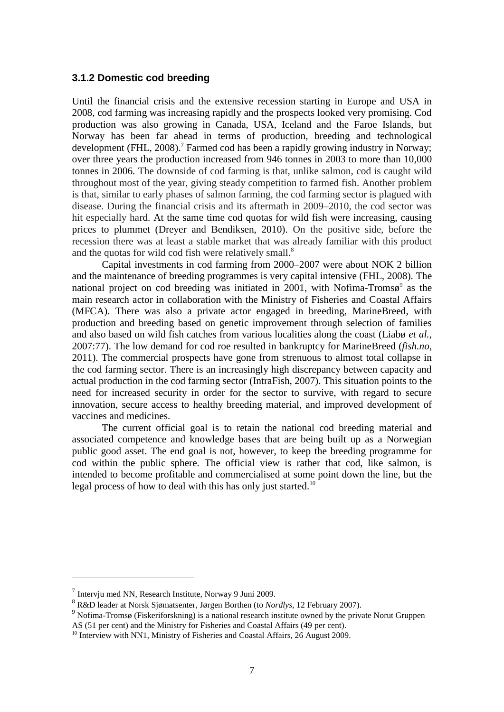#### **3.1.2 Domestic cod breeding**

Until the financial crisis and the extensive recession starting in Europe and USA in 2008, cod farming was increasing rapidly and the prospects looked very promising. Cod production was also growing in Canada, USA, Iceland and the Faroe Islands, but Norway has been far ahead in terms of production, breeding and technological development (FHL, 2008). 7 Farmed cod has been a rapidly growing industry in Norway; over three years the production increased from 946 tonnes in 2003 to more than 10,000 tonnes in 2006. The downside of cod farming is that, unlike salmon, cod is caught wild throughout most of the year, giving steady competition to farmed fish. Another problem is that, similar to early phases of salmon farming, the cod farming sector is plagued with disease. During the financial crisis and its aftermath in 2009–2010, the cod sector was hit especially hard. At the same time cod quotas for wild fish were increasing, causing prices to plummet (Dreyer and Bendiksen, 2010). On the positive side, before the recession there was at least a stable market that was already familiar with this product and the quotas for wild cod fish were relatively small.<sup>8</sup>

Capital investments in cod farming from 2000–2007 were about NOK 2 billion and the maintenance of breeding programmes is very capital intensive (FHL, 2008). The national project on cod breeding was initiated in 2001, with Nofima-Troms $\varphi^9$  as the main research actor in collaboration with the Ministry of Fisheries and Coastal Affairs (MFCA). There was also a private actor engaged in breeding, MarineBreed, with production and breeding based on genetic improvement through selection of families and also based on wild fish catches from various localities along the coast (Liabø *et al.*, 2007:77). The low demand for cod roe resulted in bankruptcy for MarineBreed (*fish.no*, 2011). The commercial prospects have gone from strenuous to almost total collapse in the cod farming sector. There is an increasingly high discrepancy between capacity and actual production in the cod farming sector (IntraFish, 2007). This situation points to the need for increased security in order for the sector to survive, with regard to secure innovation, secure access to healthy breeding material, and improved development of vaccines and medicines.

The current official goal is to retain the national cod breeding material and associated competence and knowledge bases that are being built up as a Norwegian public good asset. The end goal is not, however, to keep the breeding programme for cod within the public sphere. The official view is rather that cod, like salmon, is intended to become profitable and commercialised at some point down the line, but the legal process of how to deal with this has only just started.<sup>10</sup>

<sup>7</sup> Intervju med NN*,* Research Institute, Norway 9 Juni 2009.

<sup>8</sup> R&D leader at Norsk Sjømatsenter, Jørgen Borthen (to *Nordlys*, 12 February 2007).

<sup>9</sup> Nofima-Tromsø (Fiskeriforskning) is a national research institute owned by the private Norut Gruppen AS (51 per cent) and the Ministry for Fisheries and Coastal Affairs (49 per cent).

<sup>&</sup>lt;sup>10</sup> Interview with NN1, Ministry of Fisheries and Coastal Affairs, 26 August 2009.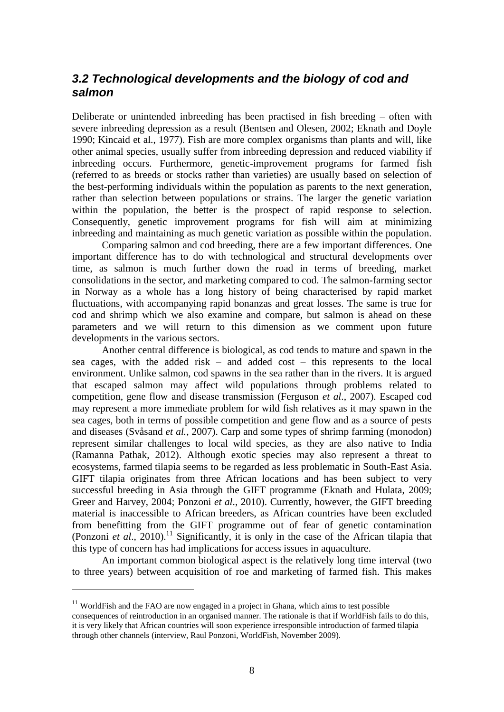### *3.2 Technological developments and the biology of cod and salmon*

Deliberate or unintended inbreeding has been practised in fish breeding – often with severe inbreeding depression as a result (Bentsen and Olesen, 2002; Eknath and Doyle 1990; Kincaid et al., 1977). Fish are more complex organisms than plants and will, like other animal species, usually suffer from inbreeding depression and reduced viability if inbreeding occurs. Furthermore, genetic-improvement programs for farmed fish (referred to as breeds or stocks rather than varieties) are usually based on selection of the best-performing individuals within the population as parents to the next generation, rather than selection between populations or strains. The larger the genetic variation within the population, the better is the prospect of rapid response to selection. Consequently, genetic improvement programs for fish will aim at minimizing inbreeding and maintaining as much genetic variation as possible within the population.

Comparing salmon and cod breeding, there are a few important differences. One important difference has to do with technological and structural developments over time, as salmon is much further down the road in terms of breeding, market consolidations in the sector, and marketing compared to cod. The salmon-farming sector in Norway as a whole has a long history of being characterised by rapid market fluctuations, with accompanying rapid bonanzas and great losses. The same is true for cod and shrimp which we also examine and compare, but salmon is ahead on these parameters and we will return to this dimension as we comment upon future developments in the various sectors.

Another central difference is biological, as cod tends to mature and spawn in the sea cages, with the added risk – and added cost – this represents to the local environment. Unlike salmon, cod spawns in the sea rather than in the rivers. It is argued that escaped salmon may affect wild populations through problems related to competition, gene flow and disease transmission (Ferguson *et al*., 2007). Escaped cod may represent a more immediate problem for wild fish relatives as it may spawn in the sea cages, both in terms of possible competition and gene flow and as a source of pests and diseases (Svåsand *et al.*, 2007). Carp and some types of shrimp farming (monodon) represent similar challenges to local wild species, as they are also native to India (Ramanna Pathak, 2012). Although exotic species may also represent a threat to ecosystems, farmed tilapia seems to be regarded as less problematic in South-East Asia. GIFT tilapia originates from three African locations and has been subject to very successful breeding in Asia through the GIFT programme (Eknath and Hulata, 2009; Greer and Harvey, 2004; Ponzoni *et al*., 2010). Currently, however, the GIFT breeding material is inaccessible to African breeders, as African countries have been excluded from benefitting from the GIFT programme out of fear of genetic contamination (Ponzoni *et al.*, 2010).<sup>11</sup> Significantly, it is only in the case of the African tilapia that this type of concern has had implications for access issues in aquaculture.

An important common biological aspect is the relatively long time interval (two to three years) between acquisition of roe and marketing of farmed fish. This makes

 $11$  WorldFish and the FAO are now engaged in a project in Ghana, which aims to test possible consequences of reintroduction in an organised manner. The rationale is that if WorldFish fails to do this, it is very likely that African countries will soon experience irresponsible introduction of farmed tilapia through other channels (interview, Raul Ponzoni, WorldFish, November 2009).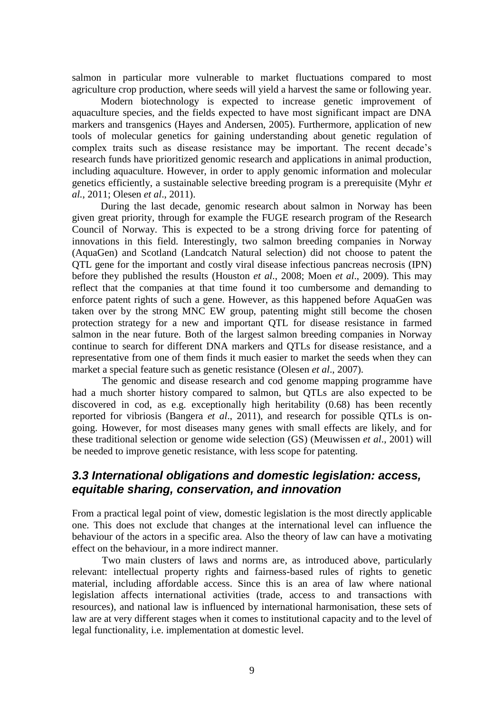salmon in particular more vulnerable to market fluctuations compared to most agriculture crop production, where seeds will yield a harvest the same or following year.

Modern biotechnology is expected to increase genetic improvement of aquaculture species, and the fields expected to have most significant impact are DNA markers and transgenics (Hayes and Andersen, 2005). Furthermore, application of new tools of molecular genetics for gaining understanding about genetic regulation of complex traits such as disease resistance may be important. The recent decade's research funds have prioritized genomic research and applications in animal production, including aquaculture. However, in order to apply genomic information and molecular genetics efficiently, a sustainable selective breeding program is a prerequisite (Myhr *et al.*, 2011; Olesen *et al*., 2011).

During the last decade, genomic research about salmon in Norway has been given great priority, through for example the FUGE research program of the Research Council of Norway. This is expected to be a strong driving force for patenting of innovations in this field. Interestingly, two salmon breeding companies in Norway (AquaGen) and Scotland (Landcatch Natural selection) did not choose to patent the QTL gene for the important and costly viral disease infectious pancreas necrosis (IPN) before they published the results (Houston *et al*., 2008; Moen *et al*., 2009). This may reflect that the companies at that time found it too cumbersome and demanding to enforce patent rights of such a gene. However, as this happened before AquaGen was taken over by the strong MNC EW group, patenting might still become the chosen protection strategy for a new and important QTL for disease resistance in farmed salmon in the near future. Both of the largest salmon breeding companies in Norway continue to search for different DNA markers and QTLs for disease resistance, and a representative from one of them finds it much easier to market the seeds when they can market a special feature such as genetic resistance (Olesen *et al*., 2007).

The genomic and disease research and cod genome mapping programme have had a much shorter history compared to salmon, but QTLs are also expected to be discovered in cod, as e.g. exceptionally high heritability (0.68) has been recently reported for vibriosis (Bangera *et al*., 2011), and research for possible QTLs is ongoing. However, for most diseases many genes with small effects are likely, and for these traditional selection or genome wide selection (GS) (Meuwissen *et al*., 2001) will be needed to improve genetic resistance, with less scope for patenting.

### *3.3 International obligations and domestic legislation: access, equitable sharing, conservation, and innovation*

From a practical legal point of view, domestic legislation is the most directly applicable one. This does not exclude that changes at the international level can influence the behaviour of the actors in a specific area. Also the theory of law can have a motivating effect on the behaviour, in a more indirect manner.

Two main clusters of laws and norms are, as introduced above, particularly relevant: intellectual property rights and fairness-based rules of rights to genetic material, including affordable access. Since this is an area of law where national legislation affects international activities (trade, access to and transactions with resources), and national law is influenced by international harmonisation, these sets of law are at very different stages when it comes to institutional capacity and to the level of legal functionality, i.e. implementation at domestic level.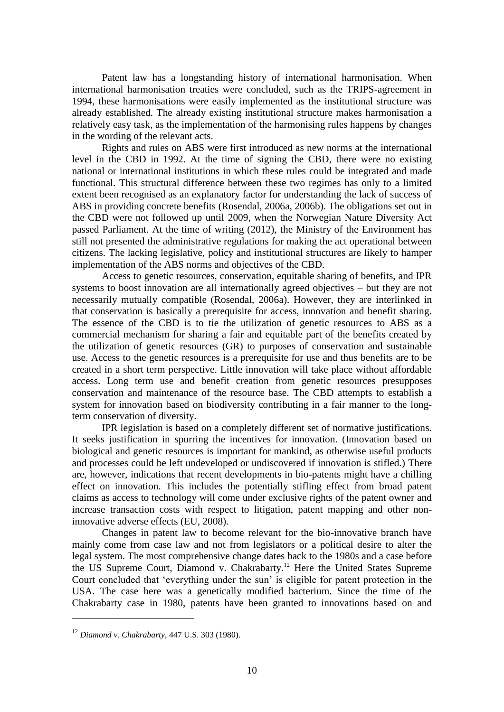Patent law has a longstanding history of international harmonisation. When international harmonisation treaties were concluded, such as the TRIPS-agreement in 1994, these harmonisations were easily implemented as the institutional structure was already established. The already existing institutional structure makes harmonisation a relatively easy task, as the implementation of the harmonising rules happens by changes in the wording of the relevant acts.

Rights and rules on ABS were first introduced as new norms at the international level in the CBD in 1992. At the time of signing the CBD, there were no existing national or international institutions in which these rules could be integrated and made functional. This structural difference between these two regimes has only to a limited extent been recognised as an explanatory factor for understanding the lack of success of ABS in providing concrete benefits (Rosendal, 2006a, 2006b). The obligations set out in the CBD were not followed up until 2009, when the Norwegian Nature Diversity Act passed Parliament. At the time of writing (2012), the Ministry of the Environment has still not presented the administrative regulations for making the act operational between citizens. The lacking legislative, policy and institutional structures are likely to hamper implementation of the ABS norms and objectives of the CBD.

Access to genetic resources, conservation, equitable sharing of benefits, and IPR systems to boost innovation are all internationally agreed objectives – but they are not necessarily mutually compatible (Rosendal, 2006a). However, they are interlinked in that conservation is basically a prerequisite for access, innovation and benefit sharing. The essence of the CBD is to tie the utilization of genetic resources to ABS as a commercial mechanism for sharing a fair and equitable part of the benefits created by the utilization of genetic resources (GR) to purposes of conservation and sustainable use. Access to the genetic resources is a prerequisite for use and thus benefits are to be created in a short term perspective. Little innovation will take place without affordable access. Long term use and benefit creation from genetic resources presupposes conservation and maintenance of the resource base. The CBD attempts to establish a system for innovation based on biodiversity contributing in a fair manner to the longterm conservation of diversity.

IPR legislation is based on a completely different set of normative justifications. It seeks justification in spurring the incentives for innovation. (Innovation based on biological and genetic resources is important for mankind, as otherwise useful products and processes could be left undeveloped or undiscovered if innovation is stifled.) There are, however, indications that recent developments in bio-patents might have a chilling effect on innovation. This includes the potentially stifling effect from broad patent claims as access to technology will come under exclusive rights of the patent owner and increase transaction costs with respect to litigation, patent mapping and other noninnovative adverse effects (EU, 2008).

Changes in patent law to become relevant for the bio-innovative branch have mainly come from case law and not from legislators or a political desire to alter the legal system. The most comprehensive change dates back to the 1980s and a case before the US Supreme Court, Diamond v. Chakrabarty.<sup>12</sup> Here the United States Supreme Court concluded that 'everything under the sun' is eligible for patent protection in the USA. The case here was a genetically modified bacterium. Since the time of the Chakrabarty case in 1980, patents have been granted to innovations based on and

<sup>12</sup> *Diamond v. Chakrabarty*, 447 U.S. 303 (1980).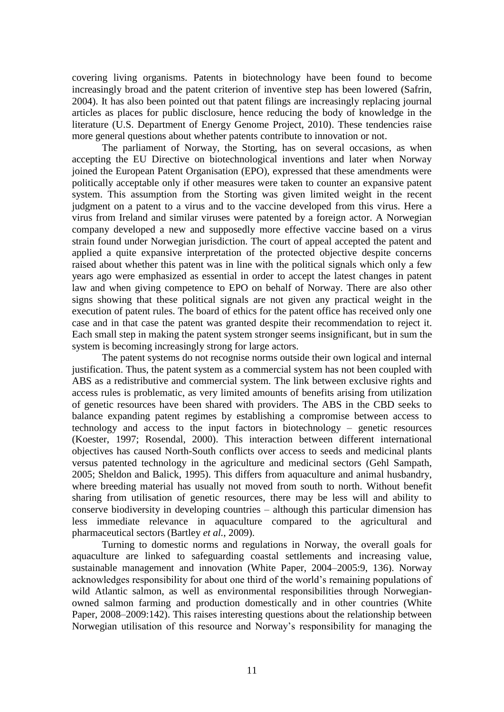covering living organisms. Patents in biotechnology have been found to become increasingly broad and the patent criterion of inventive step has been lowered (Safrin, 2004). It has also been pointed out that patent filings are increasingly replacing journal articles as places for public disclosure, hence reducing the body of knowledge in the literature (U.S. Department of Energy Genome Project, 2010). These tendencies raise more general questions about whether patents contribute to innovation or not.

The parliament of Norway, the Storting, has on several occasions, as when accepting the EU Directive on biotechnological inventions and later when Norway joined the European Patent Organisation (EPO), expressed that these amendments were politically acceptable only if other measures were taken to counter an expansive patent system. This assumption from the Storting was given limited weight in the recent judgment on a patent to a virus and to the vaccine developed from this virus. Here a virus from Ireland and similar viruses were patented by a foreign actor. A Norwegian company developed a new and supposedly more effective vaccine based on a virus strain found under Norwegian jurisdiction. The court of appeal accepted the patent and applied a quite expansive interpretation of the protected objective despite concerns raised about whether this patent was in line with the political signals which only a few years ago were emphasized as essential in order to accept the latest changes in patent law and when giving competence to EPO on behalf of Norway. There are also other signs showing that these political signals are not given any practical weight in the execution of patent rules. The board of ethics for the patent office has received only one case and in that case the patent was granted despite their recommendation to reject it. Each small step in making the patent system stronger seems insignificant, but in sum the system is becoming increasingly strong for large actors.

The patent systems do not recognise norms outside their own logical and internal justification. Thus, the patent system as a commercial system has not been coupled with ABS as a redistributive and commercial system. The link between exclusive rights and access rules is problematic, as very limited amounts of benefits arising from utilization of genetic resources have been shared with providers. The ABS in the CBD seeks to balance expanding patent regimes by establishing a compromise between access to technology and access to the input factors in biotechnology – genetic resources (Koester, 1997; Rosendal, 2000). This interaction between different international objectives has caused North-South conflicts over access to seeds and medicinal plants versus patented technology in the agriculture and medicinal sectors (Gehl Sampath, 2005; Sheldon and Balick, 1995). This differs from aquaculture and animal husbandry, where breeding material has usually not moved from south to north. Without benefit sharing from utilisation of genetic resources, there may be less will and ability to conserve biodiversity in developing countries – although this particular dimension has less immediate relevance in aquaculture compared to the agricultural and pharmaceutical sectors (Bartley *et al.*, 2009).

Turning to domestic norms and regulations in Norway, the overall goals for aquaculture are linked to safeguarding coastal settlements and increasing value, sustainable management and innovation (White Paper, 2004–2005:9, 136). Norway acknowledges responsibility for about one third of the world's remaining populations of wild Atlantic salmon, as well as environmental responsibilities through Norwegianowned salmon farming and production domestically and in other countries (White Paper, 2008–2009:142). This raises interesting questions about the relationship between Norwegian utilisation of this resource and Norway's responsibility for managing the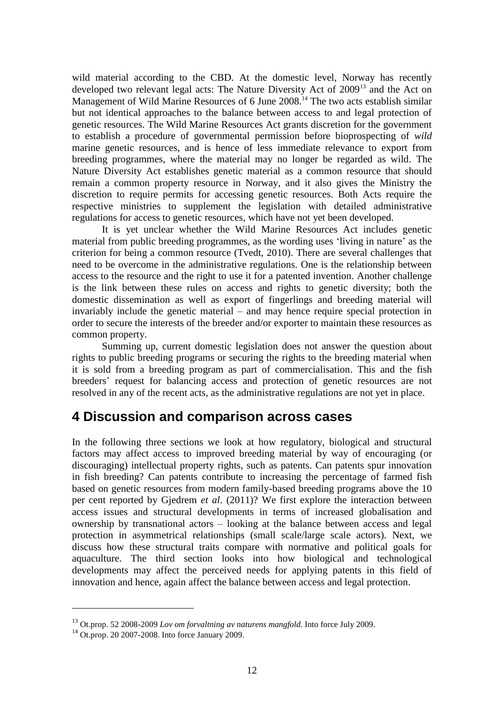wild material according to the CBD. At the domestic level, Norway has recently developed two relevant legal acts: The Nature Diversity Act of 2009<sup>13</sup> and the Act on Management of Wild Marine Resources of 6 June 2008.<sup>14</sup> The two acts establish similar but not identical approaches to the balance between access to and legal protection of genetic resources. The Wild Marine Resources Act grants discretion for the government to establish a procedure of governmental permission before bioprospecting of *wild* marine genetic resources, and is hence of less immediate relevance to export from breeding programmes, where the material may no longer be regarded as wild. The Nature Diversity Act establishes genetic material as a common resource that should remain a common property resource in Norway, and it also gives the Ministry the discretion to require permits for accessing genetic resources. Both Acts require the respective ministries to supplement the legislation with detailed administrative regulations for access to genetic resources, which have not yet been developed.

It is yet unclear whether the Wild Marine Resources Act includes genetic material from public breeding programmes, as the wording uses 'living in nature' as the criterion for being a common resource (Tvedt, 2010). There are several challenges that need to be overcome in the administrative regulations. One is the relationship between access to the resource and the right to use it for a patented invention. Another challenge is the link between these rules on access and rights to genetic diversity; both the domestic dissemination as well as export of fingerlings and breeding material will invariably include the genetic material – and may hence require special protection in order to secure the interests of the breeder and/or exporter to maintain these resources as common property.

Summing up, current domestic legislation does not answer the question about rights to public breeding programs or securing the rights to the breeding material when it is sold from a breeding program as part of commercialisation. This and the fish breeders' request for balancing access and protection of genetic resources are not resolved in any of the recent acts, as the administrative regulations are not yet in place.

## **4 Discussion and comparison across cases**

In the following three sections we look at how regulatory, biological and structural factors may affect access to improved breeding material by way of encouraging (or discouraging) intellectual property rights, such as patents. Can patents spur innovation in fish breeding? Can patents contribute to increasing the percentage of farmed fish based on genetic resources from modern family-based breeding programs above the 10 per cent reported by Gjedrem *et al*. (2011)? We first explore the interaction between access issues and structural developments in terms of increased globalisation and ownership by transnational actors – looking at the balance between access and legal protection in asymmetrical relationships (small scale/large scale actors). Next, we discuss how these structural traits compare with normative and political goals for aquaculture. The third section looks into how biological and technological developments may affect the perceived needs for applying patents in this field of innovation and hence, again affect the balance between access and legal protection.

<sup>13</sup> Ot.prop. 52 2008-2009 *Lov om forvaltning av naturens mangfold*. Into force July 2009.

<sup>14</sup> Ot.prop. 20 2007-2008. Into force January 2009.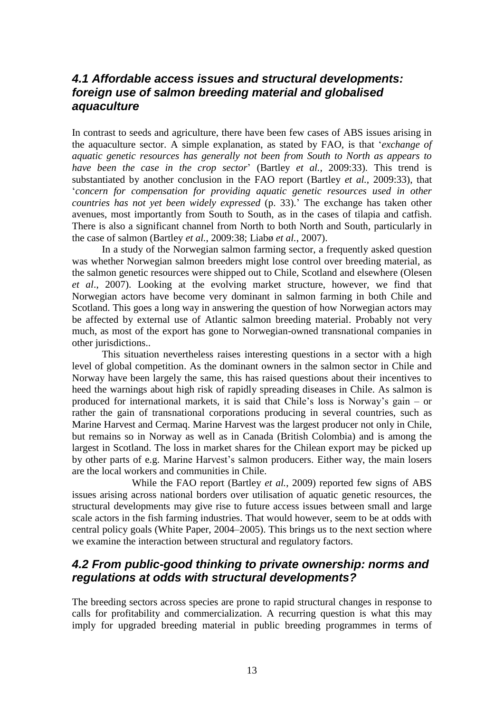### *4.1 Affordable access issues and structural developments: foreign use of salmon breeding material and globalised aquaculture*

In contrast to seeds and agriculture, there have been few cases of ABS issues arising in the aquaculture sector. A simple explanation, as stated by FAO, is that '*exchange of aquatic genetic resources has generally not been from South to North as appears to have been the case in the crop sector*' (Bartley *et al.*, 2009:33). This trend is substantiated by another conclusion in the FAO report (Bartley *et al.*, 2009:33), that '*concern for compensation for providing aquatic genetic resources used in other countries has not yet been widely expressed* (p. 33).' The exchange has taken other avenues, most importantly from South to South, as in the cases of tilapia and catfish. There is also a significant channel from North to both North and South, particularly in the case of salmon (Bartley *et al.*, 2009:38; Liabø *et al.*, 2007).

In a study of the Norwegian salmon farming sector, a frequently asked question was whether Norwegian salmon breeders might lose control over breeding material, as the salmon genetic resources were shipped out to Chile, Scotland and elsewhere (Olesen *et al*., 2007). Looking at the evolving market structure, however, we find that Norwegian actors have become very dominant in salmon farming in both Chile and Scotland. This goes a long way in answering the question of how Norwegian actors may be affected by external use of Atlantic salmon breeding material. Probably not very much, as most of the export has gone to Norwegian-owned transnational companies in other jurisdictions..

This situation nevertheless raises interesting questions in a sector with a high level of global competition. As the dominant owners in the salmon sector in Chile and Norway have been largely the same, this has raised questions about their incentives to heed the warnings about high risk of rapidly spreading diseases in Chile. As salmon is produced for international markets, it is said that Chile's loss is Norway's gain – or rather the gain of transnational corporations producing in several countries, such as Marine Harvest and Cermaq. Marine Harvest was the largest producer not only in Chile, but remains so in Norway as well as in Canada (British Colombia) and is among the largest in Scotland. The loss in market shares for the Chilean export may be picked up by other parts of e.g. Marine Harvest's salmon producers. Either way, the main losers are the local workers and communities in Chile.

While the FAO report (Bartley *et al.*, 2009) reported few signs of ABS issues arising across national borders over utilisation of aquatic genetic resources, the structural developments may give rise to future access issues between small and large scale actors in the fish farming industries. That would however, seem to be at odds with central policy goals (White Paper, 2004–2005). This brings us to the next section where we examine the interaction between structural and regulatory factors.

### *4.2 From public-good thinking to private ownership: norms and regulations at odds with structural developments?*

The breeding sectors across species are prone to rapid structural changes in response to calls for profitability and commercialization. A recurring question is what this may imply for upgraded breeding material in public breeding programmes in terms of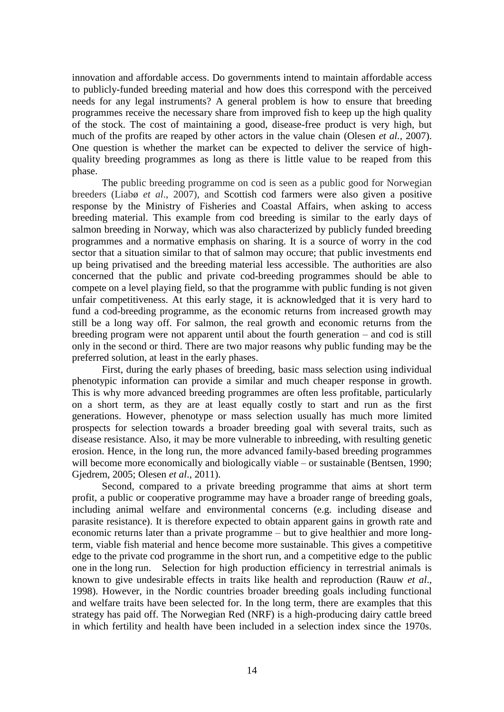innovation and affordable access. Do governments intend to maintain affordable access to publicly-funded breeding material and how does this correspond with the perceived needs for any legal instruments? A general problem is how to ensure that breeding programmes receive the necessary share from improved fish to keep up the high quality of the stock. The cost of maintaining a good, disease-free product is very high, but much of the profits are reaped by other actors in the value chain (Olesen *et al.*, 2007). One question is whether the market can be expected to deliver the service of highquality breeding programmes as long as there is little value to be reaped from this phase.

The public breeding programme on cod is seen as a public good for Norwegian breeders (Liabø *et al*., 2007), and Scottish cod farmers were also given a positive response by the Ministry of Fisheries and Coastal Affairs, when asking to access breeding material. This example from cod breeding is similar to the early days of salmon breeding in Norway, which was also characterized by publicly funded breeding programmes and a normative emphasis on sharing. It is a source of worry in the cod sector that a situation similar to that of salmon may occure; that public investments end up being privatised and the breeding material less accessible. The authorities are also concerned that the public and private cod-breeding programmes should be able to compete on a level playing field, so that the programme with public funding is not given unfair competitiveness. At this early stage, it is acknowledged that it is very hard to fund a cod-breeding programme, as the economic returns from increased growth may still be a long way off. For salmon, the real growth and economic returns from the breeding program were not apparent until about the fourth generation – and cod is still only in the second or third. There are two major reasons why public funding may be the preferred solution, at least in the early phases.

First, during the early phases of breeding, basic mass selection using individual phenotypic information can provide a similar and much cheaper response in growth. This is why more advanced breeding programmes are often less profitable, particularly on a short term, as they are at least equally costly to start and run as the first generations. However, phenotype or mass selection usually has much more limited prospects for selection towards a broader breeding goal with several traits, such as disease resistance. Also, it may be more vulnerable to inbreeding, with resulting genetic erosion. Hence, in the long run, the more advanced family-based breeding programmes will become more economically and biologically viable – or sustainable (Bentsen, 1990; Gjedrem, 2005; Olesen *et al*., 2011).

Second, compared to a private breeding programme that aims at short term profit, a public or cooperative programme may have a broader range of breeding goals, including animal welfare and environmental concerns (e.g. including disease and parasite resistance). It is therefore expected to obtain apparent gains in growth rate and economic returns later than a private programme – but to give healthier and more longterm, viable fish material and hence become more sustainable. This gives a competitive edge to the private cod programme in the short run, and a competitive edge to the public one in the long run. Selection for high production efficiency in terrestrial animals is known to give undesirable effects in traits like health and reproduction (Rauw *et al*., 1998). However, in the Nordic countries broader breeding goals including functional and welfare traits have been selected for. In the long term, there are examples that this strategy has paid off. The Norwegian Red (NRF) is a high-producing dairy cattle breed in which fertility and health have been included in a selection index since the 1970s.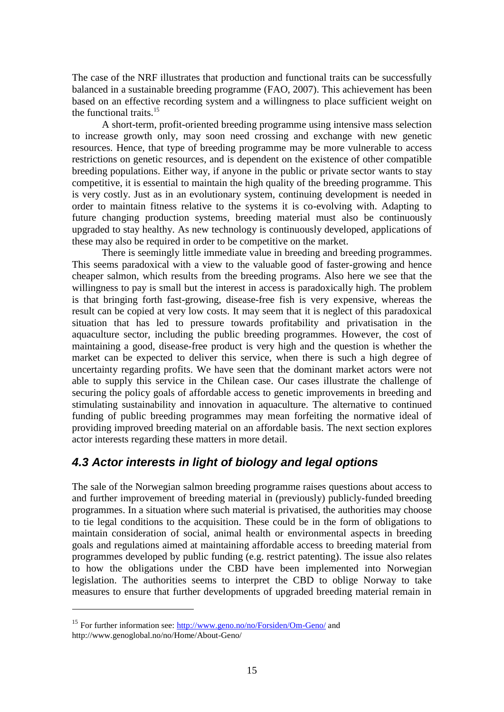The case of the NRF illustrates that production and functional traits can be successfully balanced in a sustainable breeding programme (FAO, 2007). This achievement has been based on an effective recording system and a willingness to place sufficient weight on the functional traits.<sup>15</sup>

A short-term, profit-oriented breeding programme using intensive mass selection to increase growth only, may soon need crossing and exchange with new genetic resources. Hence, that type of breeding programme may be more vulnerable to access restrictions on genetic resources, and is dependent on the existence of other compatible breeding populations. Either way, if anyone in the public or private sector wants to stay competitive, it is essential to maintain the high quality of the breeding programme. This is very costly. Just as in an evolutionary system, continuing development is needed in order to maintain fitness relative to the systems it is co-evolving with. Adapting to future changing production systems, breeding material must also be continuously upgraded to stay healthy. As new technology is continuously developed, applications of these may also be required in order to be competitive on the market.

There is seemingly little immediate value in breeding and breeding programmes. This seems paradoxical with a view to the valuable good of faster-growing and hence cheaper salmon, which results from the breeding programs. Also here we see that the willingness to pay is small but the interest in access is paradoxically high. The problem is that bringing forth fast-growing, disease-free fish is very expensive, whereas the result can be copied at very low costs. It may seem that it is neglect of this paradoxical situation that has led to pressure towards profitability and privatisation in the aquaculture sector, including the public breeding programmes. However, the cost of maintaining a good, disease-free product is very high and the question is whether the market can be expected to deliver this service, when there is such a high degree of uncertainty regarding profits. We have seen that the dominant market actors were not able to supply this service in the Chilean case. Our cases illustrate the challenge of securing the policy goals of affordable access to genetic improvements in breeding and stimulating sustainability and innovation in aquaculture. The alternative to continued funding of public breeding programmes may mean forfeiting the normative ideal of providing improved breeding material on an affordable basis. The next section explores actor interests regarding these matters in more detail.

### *4.3 Actor interests in light of biology and legal options*

The sale of the Norwegian salmon breeding programme raises questions about access to and further improvement of breeding material in (previously) publicly-funded breeding programmes. In a situation where such material is privatised, the authorities may choose to tie legal conditions to the acquisition. These could be in the form of obligations to maintain consideration of social, animal health or environmental aspects in breeding goals and regulations aimed at maintaining affordable access to breeding material from programmes developed by public funding (e.g. restrict patenting). The issue also relates to how the obligations under the CBD have been implemented into Norwegian legislation. The authorities seems to interpret the CBD to oblige Norway to take measures to ensure that further developments of upgraded breeding material remain in

<sup>&</sup>lt;sup>15</sup> For further information see:  $\frac{http://www.geno.no/no/Forsiden/Om-Geno/ and}{}$ http://www.genoglobal.no/no/Home/About-Geno/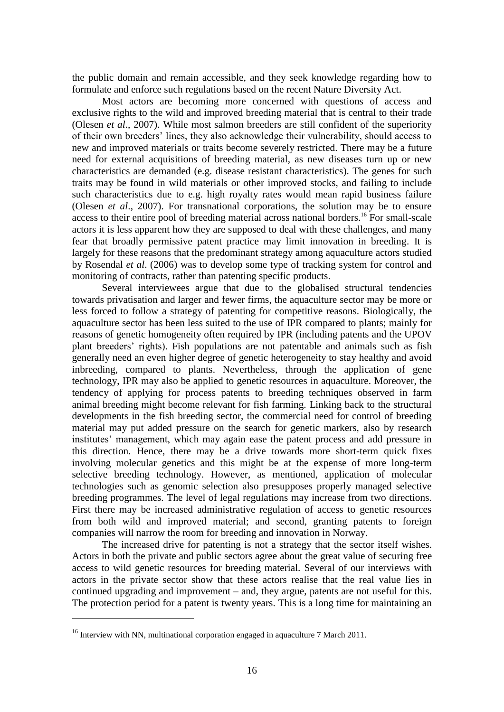the public domain and remain accessible, and they seek knowledge regarding how to formulate and enforce such regulations based on the recent Nature Diversity Act.

Most actors are becoming more concerned with questions of access and exclusive rights to the wild and improved breeding material that is central to their trade (Olesen *et al*., 2007). While most salmon breeders are still confident of the superiority of their own breeders' lines, they also acknowledge their vulnerability, should access to new and improved materials or traits become severely restricted. There may be a future need for external acquisitions of breeding material, as new diseases turn up or new characteristics are demanded (e.g. disease resistant characteristics). The genes for such traits may be found in wild materials or other improved stocks, and failing to include such characteristics due to e.g. high royalty rates would mean rapid business failure (Olesen *et al*., 2007). For transnational corporations, the solution may be to ensure access to their entire pool of breeding material across national borders.<sup>16</sup> For small-scale actors it is less apparent how they are supposed to deal with these challenges, and many fear that broadly permissive patent practice may limit innovation in breeding. It is largely for these reasons that the predominant strategy among aquaculture actors studied by Rosendal *et al*. (2006) was to develop some type of tracking system for control and monitoring of contracts, rather than patenting specific products.

Several interviewees argue that due to the globalised structural tendencies towards privatisation and larger and fewer firms, the aquaculture sector may be more or less forced to follow a strategy of patenting for competitive reasons. Biologically, the aquaculture sector has been less suited to the use of IPR compared to plants; mainly for reasons of genetic homogeneity often required by IPR (including patents and the UPOV plant breeders' rights). Fish populations are not patentable and animals such as fish generally need an even higher degree of genetic heterogeneity to stay healthy and avoid inbreeding, compared to plants. Nevertheless, through the application of gene technology, IPR may also be applied to genetic resources in aquaculture. Moreover, the tendency of applying for process patents to breeding techniques observed in farm animal breeding might become relevant for fish farming. Linking back to the structural developments in the fish breeding sector, the commercial need for control of breeding material may put added pressure on the search for genetic markers, also by research institutes' management, which may again ease the patent process and add pressure in this direction. Hence, there may be a drive towards more short-term quick fixes involving molecular genetics and this might be at the expense of more long-term selective breeding technology. However, as mentioned, application of molecular technologies such as genomic selection also presupposes properly managed selective breeding programmes. The level of legal regulations may increase from two directions. First there may be increased administrative regulation of access to genetic resources from both wild and improved material; and second, granting patents to foreign companies will narrow the room for breeding and innovation in Norway.

The increased drive for patenting is not a strategy that the sector itself wishes. Actors in both the private and public sectors agree about the great value of securing free access to wild genetic resources for breeding material. Several of our interviews with actors in the private sector show that these actors realise that the real value lies in continued upgrading and improvement – and, they argue, patents are not useful for this. The protection period for a patent is twenty years. This is a long time for maintaining an

<sup>&</sup>lt;sup>16</sup> Interview with NN, multinational corporation engaged in aquaculture 7 March 2011.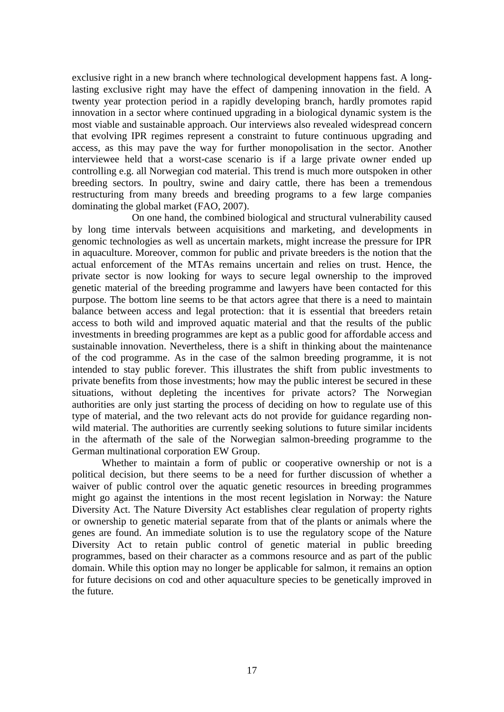exclusive right in a new branch where technological development happens fast. A longlasting exclusive right may have the effect of dampening innovation in the field. A twenty year protection period in a rapidly developing branch, hardly promotes rapid innovation in a sector where continued upgrading in a biological dynamic system is the most viable and sustainable approach. Our interviews also revealed widespread concern that evolving IPR regimes represent a constraint to future continuous upgrading and access, as this may pave the way for further monopolisation in the sector. Another interviewee held that a worst-case scenario is if a large private owner ended up controlling e.g. all Norwegian cod material. This trend is much more outspoken in other breeding sectors. In poultry, swine and dairy cattle, there has been a tremendous restructuring from many breeds and breeding programs to a few large companies dominating the global market (FAO, 2007).

On one hand, the combined biological and structural vulnerability caused by long time intervals between acquisitions and marketing, and developments in genomic technologies as well as uncertain markets, might increase the pressure for IPR in aquaculture. Moreover, common for public and private breeders is the notion that the actual enforcement of the MTAs remains uncertain and relies on trust. Hence, the private sector is now looking for ways to secure legal ownership to the improved genetic material of the breeding programme and lawyers have been contacted for this purpose. The bottom line seems to be that actors agree that there is a need to maintain balance between access and legal protection: that it is essential that breeders retain access to both wild and improved aquatic material and that the results of the public investments in breeding programmes are kept as a public good for affordable access and sustainable innovation. Nevertheless, there is a shift in thinking about the maintenance of the cod programme. As in the case of the salmon breeding programme, it is not intended to stay public forever. This illustrates the shift from public investments to private benefits from those investments; how may the public interest be secured in these situations, without depleting the incentives for private actors? The Norwegian authorities are only just starting the process of deciding on how to regulate use of this type of material, and the two relevant acts do not provide for guidance regarding nonwild material. The authorities are currently seeking solutions to future similar incidents in the aftermath of the sale of the Norwegian salmon-breeding programme to the German multinational corporation EW Group.

Whether to maintain a form of public or cooperative ownership or not is a political decision, but there seems to be a need for further discussion of whether a waiver of public control over the aquatic genetic resources in breeding programmes might go against the intentions in the most recent legislation in Norway: the Nature Diversity Act. The Nature Diversity Act establishes clear regulation of property rights or ownership to genetic material separate from that of the plants or animals where the genes are found. An immediate solution is to use the regulatory scope of the Nature Diversity Act to retain public control of genetic material in public breeding programmes, based on their character as a commons resource and as part of the public domain. While this option may no longer be applicable for salmon, it remains an option for future decisions on cod and other aquaculture species to be genetically improved in the future.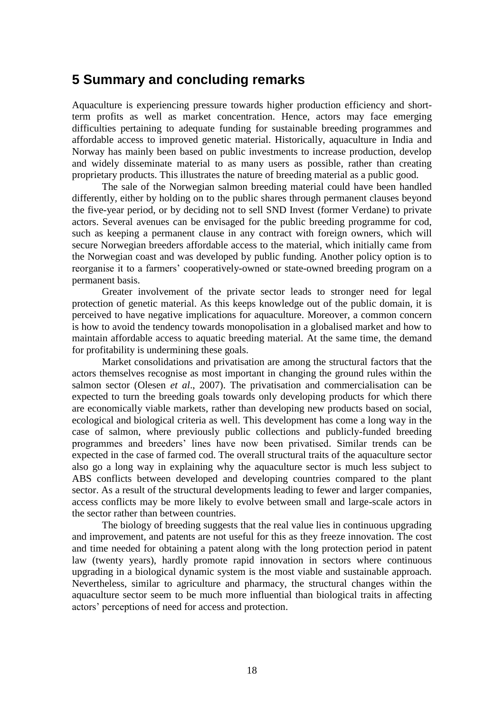### **5 Summary and concluding remarks**

Aquaculture is experiencing pressure towards higher production efficiency and shortterm profits as well as market concentration. Hence, actors may face emerging difficulties pertaining to adequate funding for sustainable breeding programmes and affordable access to improved genetic material. Historically, aquaculture in India and Norway has mainly been based on public investments to increase production, develop and widely disseminate material to as many users as possible, rather than creating proprietary products. This illustrates the nature of breeding material as a public good.

The sale of the Norwegian salmon breeding material could have been handled differently, either by holding on to the public shares through permanent clauses beyond the five-year period, or by deciding not to sell SND Invest (former Verdane) to private actors. Several avenues can be envisaged for the public breeding programme for cod, such as keeping a permanent clause in any contract with foreign owners, which will secure Norwegian breeders affordable access to the material, which initially came from the Norwegian coast and was developed by public funding. Another policy option is to reorganise it to a farmers' cooperatively-owned or state-owned breeding program on a permanent basis.

Greater involvement of the private sector leads to stronger need for legal protection of genetic material. As this keeps knowledge out of the public domain, it is perceived to have negative implications for aquaculture. Moreover, a common concern is how to avoid the tendency towards monopolisation in a globalised market and how to maintain affordable access to aquatic breeding material. At the same time, the demand for profitability is undermining these goals.

Market consolidations and privatisation are among the structural factors that the actors themselves recognise as most important in changing the ground rules within the salmon sector (Olesen *et al*., 2007). The privatisation and commercialisation can be expected to turn the breeding goals towards only developing products for which there are economically viable markets, rather than developing new products based on social, ecological and biological criteria as well. This development has come a long way in the case of salmon, where previously public collections and publicly-funded breeding programmes and breeders' lines have now been privatised. Similar trends can be expected in the case of farmed cod. The overall structural traits of the aquaculture sector also go a long way in explaining why the aquaculture sector is much less subject to ABS conflicts between developed and developing countries compared to the plant sector. As a result of the structural developments leading to fewer and larger companies, access conflicts may be more likely to evolve between small and large-scale actors in the sector rather than between countries.

The biology of breeding suggests that the real value lies in continuous upgrading and improvement, and patents are not useful for this as they freeze innovation. The cost and time needed for obtaining a patent along with the long protection period in patent law (twenty years), hardly promote rapid innovation in sectors where continuous upgrading in a biological dynamic system is the most viable and sustainable approach. Nevertheless, similar to agriculture and pharmacy, the structural changes within the aquaculture sector seem to be much more influential than biological traits in affecting actors' perceptions of need for access and protection.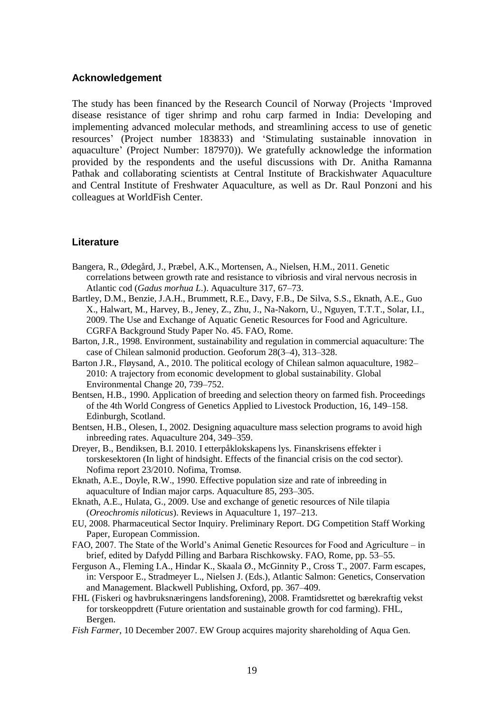#### **Acknowledgement**

The study has been financed by the Research Council of Norway (Projects 'Improved disease resistance of tiger shrimp and rohu carp farmed in India: Developing and implementing advanced molecular methods, and streamlining access to use of genetic resources' (Project number 183833) and 'Stimulating sustainable innovation in aquaculture' (Project Number: 187970)). We gratefully acknowledge the information provided by the respondents and the useful discussions with Dr. Anitha Ramanna Pathak and collaborating scientists at Central Institute of Brackishwater Aquaculture and Central Institute of Freshwater Aquaculture, as well as Dr. Raul Ponzoni and his colleagues at WorldFish Center.

#### **Literature**

- Bangera, R., Ødegård, J., Præbel, A.K., Mortensen, A., Nielsen, H.M., 2011. Genetic correlations between growth rate and resistance to vibriosis and viral nervous necrosis in Atlantic cod (*Gadus morhua L*.). Aquaculture 317, 67–73.
- Bartley, D.M., Benzie, J.A.H., Brummett, R.E., Davy, F.B., De Silva, S.S., Eknath, A.E., Guo X., Halwart, M., Harvey, B., Jeney, Z., Zhu, J., Na-Nakorn, U., Nguyen, T.T.T., Solar, I.I., 2009. The Use and Exchange of Aquatic Genetic Resources for Food and Agriculture. CGRFA Background Study Paper No. 45. FAO, Rome.
- Barton, J.R., 1998. Environment, sustainability and regulation in commercial aquaculture: The case of Chilean salmonid production. Geoforum 28(3–4), 313–328.
- Barton J.R., Fløysand, A., 2010. The political ecology of Chilean salmon aquaculture, 1982– 2010: A trajectory from economic development to global sustainability. Global Environmental Change 20, 739–752.
- Bentsen, H.B., 1990. Application of breeding and selection theory on farmed fish. Proceedings of the 4th World Congress of Genetics Applied to Livestock Production, 16, 149–158. Edinburgh, Scotland.
- Bentsen, H.B., Olesen, I., 2002. Designing aquaculture mass selection programs to avoid high inbreeding rates. Aquaculture 204, 349–359.
- Dreyer, B., Bendiksen, B.I. 2010. I etterpåklokskapens lys. Finanskrisens effekter i torskesektoren (In light of hindsight. Effects of the financial crisis on the cod sector). Nofima report 23/2010. Nofima, Tromsø.
- Eknath, A.E., Doyle, R.W., 1990. Effective population size and rate of inbreeding in aquaculture of Indian major carps. Aquaculture 85, 293–305.
- Eknath, A.E., Hulata, G., 2009. Use and exchange of genetic resources of Nile tilapia (*Oreochromis niloticus*). Reviews in Aquaculture 1, 197–213.
- EU, 2008. Pharmaceutical Sector Inquiry. Preliminary Report. DG Competition Staff Working Paper, European Commission.
- FAO, 2007. The State of the World's Animal Genetic Resources for Food and Agriculture in brief, edited by Dafydd Pilling and Barbara Rischkowsky. FAO, Rome, pp. 53–55.
- Ferguson A., Fleming I.A., Hindar K., Skaala Ø., McGinnity P., Cross T., 2007. Farm escapes, in: Verspoor E., Stradmeyer L., Nielsen J. (Eds.), Atlantic Salmon: Genetics, Conservation and Management. Blackwell Publishing, Oxford, pp. 367–409.
- FHL (Fiskeri og havbruksnæringens landsforening), 2008. Framtidsrettet og bærekraftig vekst for torskeoppdrett (Future orientation and sustainable growth for cod farming). FHL, Bergen.
- *Fish Farmer*, 10 December 2007. EW Group acquires majority shareholding of Aqua Gen.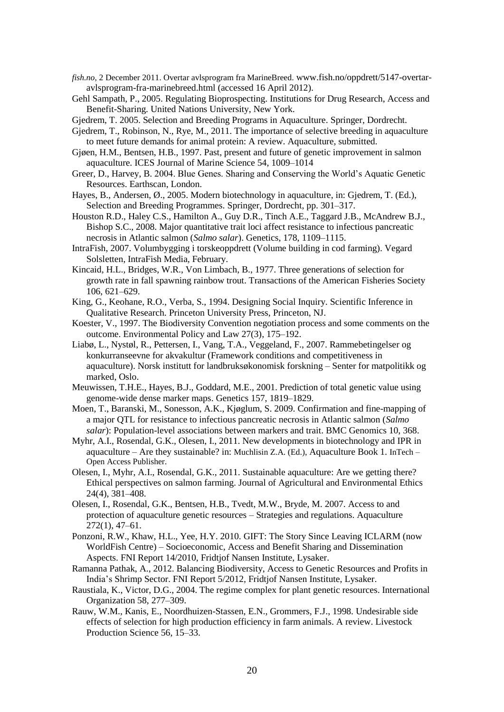- *fish.no*, 2 December 2011. Overtar avlsprogram fra MarineBreed. www.fish.no/oppdrett/5147-overtaravlsprogram-fra-marinebreed.html (accessed 16 April 2012).
- Gehl Sampath, P., 2005. Regulating Bioprospecting. Institutions for Drug Research, Access and Benefit-Sharing. United Nations University, New York.
- Gjedrem, T. 2005. Selection and Breeding Programs in Aquaculture. Springer, Dordrecht.
- Gjedrem, T., Robinson, N., Rye, M., 2011. The importance of selective breeding in aquaculture to meet future demands for animal protein: A review. Aquaculture, submitted.
- Gjøen, H.M., Bentsen, H.B., 1997. Past, present and future of genetic improvement in salmon aquaculture. ICES Journal of Marine Science 54, 1009–1014
- Greer, D., Harvey, B. 2004. Blue Genes. Sharing and Conserving the World's Aquatic Genetic Resources. Earthscan, London.
- Hayes, B., Andersen, Ø., 2005. Modern biotechnology in aquaculture, in: Gjedrem, T. (Ed.), Selection and Breeding Programmes. Springer, Dordrecht, pp. 301–317.
- Houston R.D., Haley C.S., Hamilton A., Guy D.R., Tinch A.E., Taggard J.B., McAndrew B.J., Bishop S.C., 2008. Major quantitative trait loci affect resistance to infectious pancreatic necrosis in Atlantic salmon (*Salmo salar*). Genetics, 178, 1109–1115.
- IntraFish, 2007. Volumbygging i torskeoppdrett (Volume building in cod farming). Vegard Solsletten, IntraFish Media, February.
- Kincaid, H.L., Bridges, W.R., Von Limbach, B., 1977. Three generations of selection for growth rate in fall spawning rainbow trout. Transactions of the American Fisheries Society 106, 621–629.
- King, G., Keohane, R.O., Verba, S., 1994. Designing Social Inquiry. Scientific Inference in Qualitative Research. Princeton University Press, Princeton, NJ.
- Koester, V., 1997. The Biodiversity Convention negotiation process and some comments on the outcome. Environmental Policy and Law 27(3), 175–192.
- Liabø, L., Nystøl, R., Pettersen, I., Vang, T.A., Veggeland, F., 2007. Rammebetingelser og konkurranseevne for akvakultur (Framework conditions and competitiveness in aquaculture). Norsk institutt for landbruksøkonomisk forskning – Senter for matpolitikk og marked, Oslo.
- Meuwissen, T.H.E., Hayes, B.J., Goddard, M.E., 2001. Prediction of total genetic value using genome-wide dense marker maps. Genetics 157, 1819–1829.
- Moen, T., Baranski, M., Sonesson, A.K., Kjøglum, S. 2009. Confirmation and fine-mapping of a major QTL for resistance to infectious pancreatic necrosis in Atlantic salmon (*Salmo salar*): Population-level associations between markers and trait. BMC Genomics 10, 368.
- Myhr, A.I., Rosendal, G.K., Olesen, I., 2011. New developments in biotechnology and IPR in aquaculture – Are they sustainable? in: Muchlisin Z.A. (Ed.), Aquaculture Book 1. InTech – Open Access Publisher.
- Olesen, I., Myhr, A.I., Rosendal, G.K., 2011. Sustainable aquaculture: Are we getting there? Ethical perspectives on salmon farming. Journal of Agricultural and Environmental Ethics 24(4), 381–408.
- Olesen, I., Rosendal, G.K., Bentsen, H.B., Tvedt, M.W., Bryde, M. 2007. Access to and protection of aquaculture genetic resources – Strategies and regulations. Aquaculture 272(1), 47–61.
- Ponzoni, R.W., Khaw, H.L., Yee, H.Y. 2010. GIFT: The Story Since Leaving ICLARM (now WorldFish Centre) – Socioeconomic, Access and Benefit Sharing and Dissemination Aspects. FNI Report 14/2010, Fridtjof Nansen Institute, Lysaker.
- Ramanna Pathak, A., 2012. Balancing Biodiversity, Access to Genetic Resources and Profits in India's Shrimp Sector. FNI Report 5/2012, Fridtjof Nansen Institute, Lysaker.
- Raustiala, K., Victor, D.G., 2004. The regime complex for plant genetic resources. International Organization 58, 277–309.
- Rauw, W.M., Kanis, E., Noordhuizen-Stassen, E.N., Grommers, F.J., 1998. Undesirable side effects of selection for high production efficiency in farm animals. A review. Livestock Production Science 56, 15–33.